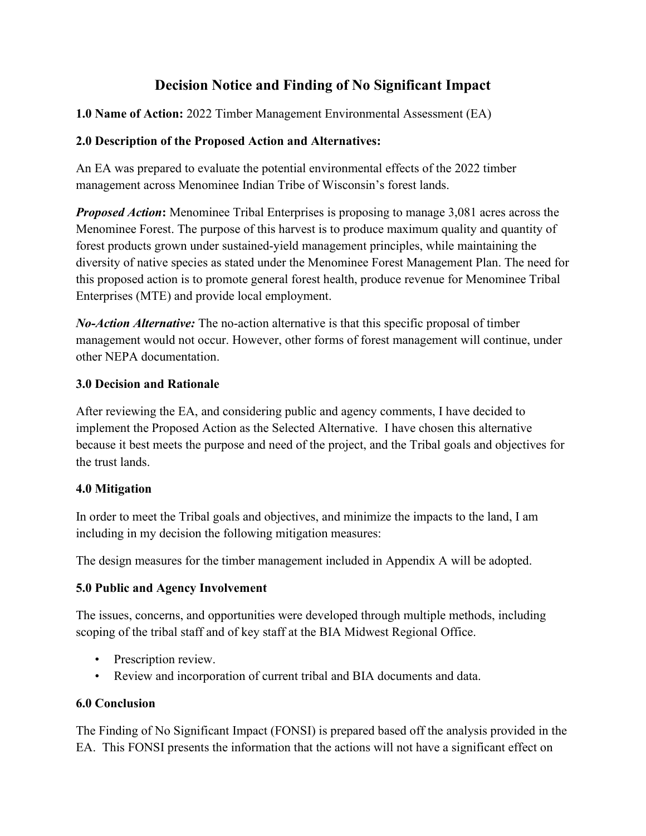# **Decision Notice and Finding of No Significant Impact**

**1.0 Name of Action:** 2022 Timber Management Environmental Assessment (EA)

#### **2.0 Description of the Proposed Action and Alternatives:**

An EA was prepared to evaluate the potential environmental effects of the 2022 timber management across Menominee Indian Tribe of Wisconsin's forest lands.

*Proposed Action*: Menominee Tribal Enterprises is proposing to manage 3,081 acres across the Menominee Forest. The purpose of this harvest is to produce maximum quality and quantity of forest products grown under sustained-yield management principles, while maintaining the diversity of native species as stated under the Menominee Forest Management Plan. The need for this proposed action is to promote general forest health, produce revenue for Menominee Tribal Enterprises (MTE) and provide local employment.

*No-Action Alternative:* The no-action alternative is that this specific proposal of timber management would not occur. However, other forms of forest management will continue, under other NEPA documentation.

#### **3.0 Decision and Rationale**

After reviewing the EA, and considering public and agency comments, I have decided to implement the Proposed Action as the Selected Alternative. I have chosen this alternative because it best meets the purpose and need of the project, and the Tribal goals and objectives for the trust lands.

### **4.0 Mitigation**

In order to meet the Tribal goals and objectives, and minimize the impacts to the land, I am including in my decision the following mitigation measures:

The design measures for the timber management included in Appendix A will be adopted.

### **5.0 Public and Agency Involvement**

The issues, concerns, and opportunities were developed through multiple methods, including scoping of the tribal staff and of key staff at the BIA Midwest Regional Office.

- Prescription review.
- Review and incorporation of current tribal and BIA documents and data.

#### **6.0 Conclusion**

The Finding of No Significant Impact (FONSI) is prepared based off the analysis provided in the EA. This FONSI presents the information that the actions will not have a significant effect on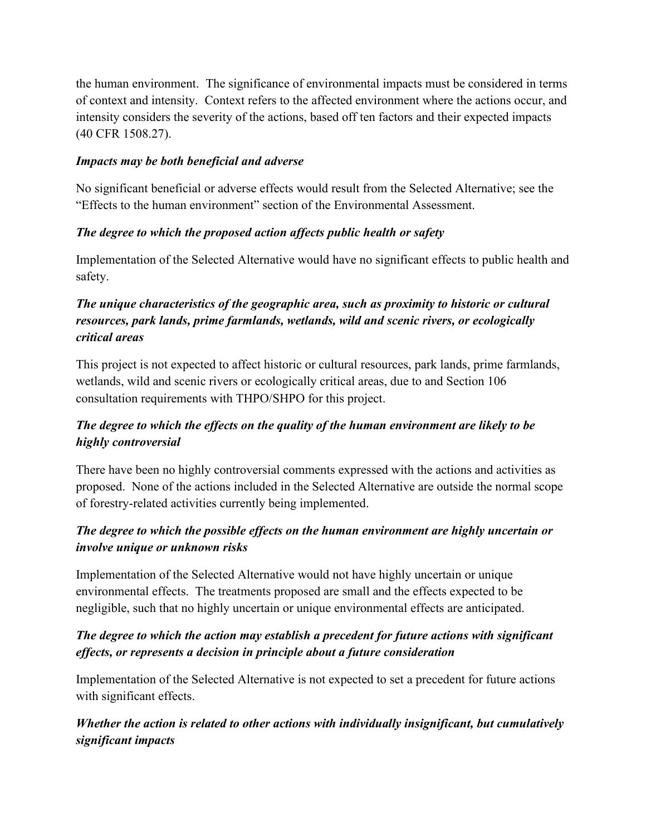the human environment. The significance of environmental impacts must be considered in terms of context and intensity. Context refers to the affected environment where the actions occur, and intensity considers the severity of the actions, based off ten factors and their expected impacts (40 CFR 1508.27).

#### *Impacts may be both beneficial and adverse*

No significant beneficial or adverse effects would result from the Selected Alternative; see the "Effects to the human environment" section of the Environmental Assessment.

#### *The degree to which the proposed action affects public health or safety*

Implementation of the Selected Alternative would have no significant effects to public health and safety.

# *The unique characteristics of the geographic area, such as proximity to historic or cultural resources, park lands, prime farmlands, wetlands, wild and scenic rivers, or ecologically critical areas*

This project is not expected to affect historic or cultural resources, park lands, prime farmlands, wetlands, wild and scenic rivers or ecologically critical areas, due to and Section 106 consultation requirements with THPO/SHPO for this project.

# *The degree to which the effects on the quality of the human environment are likely to be highly controversial*

There have been no highly controversial comments expressed with the actions and activities as proposed. None of the actions included in the Selected Alternative are outside the normal scope of forestry-related activities currently being implemented.

### *The degree to which the possible effects on the human environment are highly uncertain or involve unique or unknown risks*

Implementation of the Selected Alternative would not have highly uncertain or unique environmental effects. The treatments proposed are small and the effects expected to be negligible, such that no highly uncertain or unique environmental effects are anticipated.

# *The degree to which the action may establish a precedent for future actions with significant effects, or represents a decision in principle about a future consideration*

Implementation of the Selected Alternative is not expected to set a precedent for future actions with significant effects.

# *Whether the action is related to other actions with individually insignificant, but cumulatively significant impacts*